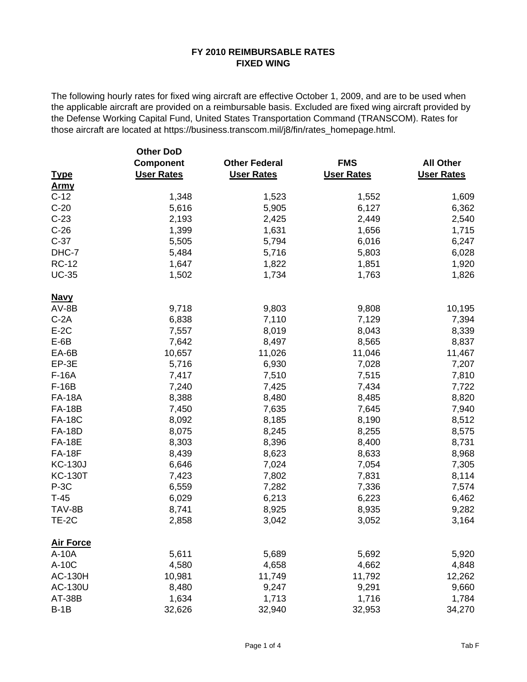|                  | <b>Other DoD</b>  |                      |                   |                   |
|------------------|-------------------|----------------------|-------------------|-------------------|
|                  | Component         | <b>Other Federal</b> | <b>FMS</b>        | <b>All Other</b>  |
| <b>Type</b>      | <b>User Rates</b> | <b>User Rates</b>    | <b>User Rates</b> | <b>User Rates</b> |
| <u>Army</u>      |                   |                      |                   |                   |
| $C-12$           | 1,348             | 1,523                | 1,552             | 1,609             |
| $C-20$           | 5,616             | 5,905                | 6,127             | 6,362             |
| $C-23$           | 2,193             | 2,425                | 2,449             | 2,540             |
| $C-26$           | 1,399             | 1,631                | 1,656             | 1,715             |
| $C-37$           | 5,505             | 5,794                | 6,016             | 6,247             |
| DHC-7            | 5,484             | 5,716                | 5,803             | 6,028             |
| <b>RC-12</b>     | 1,647             | 1,822                | 1,851             | 1,920             |
| <b>UC-35</b>     | 1,502             | 1,734                | 1,763             | 1,826             |
| <b>Navy</b>      |                   |                      |                   |                   |
| $AV-BB$          | 9,718             | 9,803                | 9,808             | 10,195            |
| $C-2A$           | 6,838             | 7,110                | 7,129             | 7,394             |
| $E-2C$           | 7,557             | 8,019                | 8,043             | 8,339             |
| $E-6B$           | 7,642             | 8,497                | 8,565             | 8,837             |
| EA-6B            | 10,657            | 11,026               | 11,046            | 11,467            |
| EP-3E            | 5,716             | 6,930                | 7,028             | 7,207             |
| F-16A            | 7,417             | 7,510                | 7,515             | 7,810             |
| $F-16B$          | 7,240             | 7,425                | 7,434             | 7,722             |
| <b>FA-18A</b>    | 8,388             | 8,480                | 8,485             | 8,820             |
| <b>FA-18B</b>    | 7,450             | 7,635                | 7,645             | 7,940             |
| <b>FA-18C</b>    | 8,092             | 8,185                | 8,190             | 8,512             |
| <b>FA-18D</b>    | 8,075             | 8,245                | 8,255             | 8,575             |
| <b>FA-18E</b>    | 8,303             | 8,396                | 8,400             | 8,731             |
| <b>FA-18F</b>    | 8,439             | 8,623                | 8,633             | 8,968             |
| <b>KC-130J</b>   | 6,646             | 7,024                | 7,054             | 7,305             |
| <b>KC-130T</b>   | 7,423             | 7,802                | 7,831             | 8,114             |
| $P-3C$           | 6,559             | 7,282                | 7,336             | 7,574             |
| $T-45$           | 6,029             | 6,213                | 6,223             | 6,462             |
| TAV-8B           | 8,741             | 8,925                | 8,935             | 9,282             |
| TE-2C            | 2,858             | 3,042                | 3,052             | 3,164             |
| <b>Air Force</b> |                   |                      |                   |                   |
| A-10A            | 5,611             | 5,689                | 5,692             | 5,920             |
| A-10C            | 4,580             | 4,658                | 4,662             | 4,848             |
| <b>AC-130H</b>   | 10,981            | 11,749               | 11,792            | 12,262            |
| AC-130U          | 8,480             | 9,247                | 9,291             | 9,660             |
| AT-38B           | 1,634             | 1,713                | 1,716             | 1,784             |
| $B-1B$           | 32,626            | 32,940               | 32,953            | 34,270            |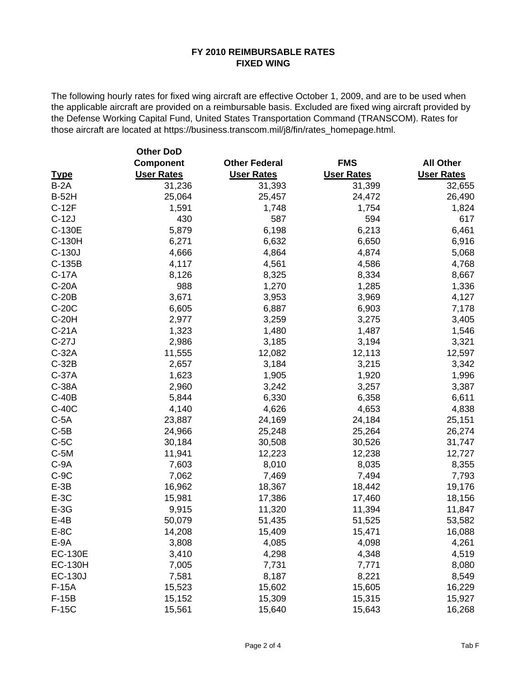|                | <b>Other DoD</b>  |                      |                   |                   |
|----------------|-------------------|----------------------|-------------------|-------------------|
|                | <b>Component</b>  | <b>Other Federal</b> | <b>FMS</b>        | <b>All Other</b>  |
| <b>Type</b>    | <b>User Rates</b> | <b>User Rates</b>    | <b>User Rates</b> | <b>User Rates</b> |
| $B-2A$         | 31,236            | 31,393               | 31,399            | 32,655            |
| <b>B-52H</b>   | 25,064            | 25,457               | 24,472            | 26,490            |
| $C-12F$        | 1,591             | 1,748                | 1,754             | 1,824             |
| $C-12J$        | 430               | 587                  | 594               | 617               |
| C-130E         | 5,879             | 6,198                | 6,213             | 6,461             |
| C-130H         | 6,271             | 6,632                | 6,650             | 6,916             |
| C-130J         | 4,666             | 4,864                | 4,874             | 5,068             |
| C-135B         | 4,117             | 4,561                | 4,586             | 4,768             |
| $C-17A$        | 8,126             | 8,325                | 8,334             | 8,667             |
| C-20A          | 988               | 1,270                | 1,285             | 1,336             |
| $C-20B$        | 3,671             | 3,953                | 3,969             | 4,127             |
| C-20C          | 6,605             | 6,887                | 6,903             | 7,178             |
| C-20H          | 2,977             | 3,259                | 3,275             | 3,405             |
| $C-21A$        | 1,323             | 1,480                | 1,487             | 1,546             |
| $C-27J$        | 2,986             | 3,185                | 3,194             | 3,321             |
| $C-32A$        | 11,555            | 12,082               | 12,113            | 12,597            |
| $C-32B$        | 2,657             | 3,184                | 3,215             | 3,342             |
| $C-37A$        | 1,623             | 1,905                | 1,920             | 1,996             |
| C-38A          | 2,960             | 3,242                | 3,257             | 3,387             |
| $C-40B$        | 5,844             | 6,330                | 6,358             | 6,611             |
| C-40C          | 4,140             | 4,626                | 4,653             | 4,838             |
| $C-5A$         | 23,887            | 24,169               | 24,184            | 25,151            |
| $C-5B$         | 24,966            | 25,248               | 25,264            | 26,274            |
| $C-5C$         | 30,184            | 30,508               | 30,526            | 31,747            |
| $C-5M$         | 11,941            | 12,223               | 12,238            | 12,727            |
| $C-9A$         | 7,603             | 8,010                | 8,035             | 8,355             |
| $C-9C$         | 7,062             | 7,469                | 7,494             | 7,793             |
| $E-3B$         | 16,962            | 18,367               | 18,442            | 19,176            |
| $E-3C$         | 15,981            | 17,386               | 17,460            | 18,156            |
| $E-3G$         | 9,915             | 11,320               | 11,394            | 11,847            |
| $E-4B$         | 50,079            | 51,435               | 51,525            | 53,582            |
| $E-8C$         | 14,208            | 15,409               | 15,471            | 16,088            |
| $E-9A$         | 3,808             | 4,085                | 4,098             | 4,261             |
| <b>EC-130E</b> | 3,410             | 4,298                | 4,348             | 4,519             |
| <b>EC-130H</b> | 7,005             | 7,731                | 7,771             | 8,080             |
| <b>EC-130J</b> | 7,581             | 8,187                | 8,221             | 8,549             |
| $F-15A$        | 15,523            | 15,602               | 15,605            | 16,229            |
| $F-15B$        | 15,152            | 15,309               | 15,315            | 15,927            |
| F-15C          | 15,561            | 15,640               | 15,643            | 16,268            |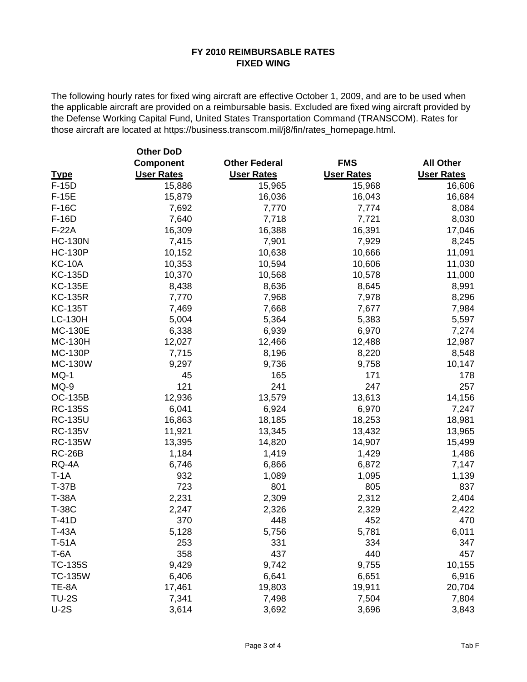|                | <b>Other DoD</b>  |                      |                   |                   |
|----------------|-------------------|----------------------|-------------------|-------------------|
|                | <b>Component</b>  | <b>Other Federal</b> | <b>FMS</b>        | <b>All Other</b>  |
| <b>Type</b>    | <b>User Rates</b> | <b>User Rates</b>    | <b>User Rates</b> | <b>User Rates</b> |
| $F-15D$        | 15,886            | 15,965               | 15,968            | 16,606            |
| $F-15E$        | 15,879            | 16,036               | 16,043            | 16,684            |
| F-16C          | 7,692             | 7,770                | 7,774             | 8,084             |
| F-16D          | 7,640             | 7,718                | 7,721             | 8,030             |
| $F-22A$        | 16,309            | 16,388               | 16,391            | 17,046            |
| <b>HC-130N</b> | 7,415             | 7,901                | 7,929             | 8,245             |
| <b>HC-130P</b> | 10,152            | 10,638               | 10,666            | 11,091            |
| <b>KC-10A</b>  | 10,353            | 10,594               | 10,606            | 11,030            |
| <b>KC-135D</b> | 10,370            | 10,568               | 10,578            | 11,000            |
| <b>KC-135E</b> | 8,438             | 8,636                | 8,645             | 8,991             |
| <b>KC-135R</b> | 7,770             | 7,968                | 7,978             | 8,296             |
| <b>KC-135T</b> | 7,469             | 7,668                | 7,677             | 7,984             |
| <b>LC-130H</b> | 5,004             | 5,364                | 5,383             | 5,597             |
| <b>MC-130E</b> | 6,338             | 6,939                | 6,970             | 7,274             |
| <b>MC-130H</b> | 12,027            | 12,466               | 12,488            | 12,987            |
| <b>MC-130P</b> | 7,715             | 8,196                | 8,220             | 8,548             |
| <b>MC-130W</b> | 9,297             | 9,736                | 9,758             | 10,147            |
| MQ-1           | 45                | 165                  | 171               | 178               |
| MQ-9           | 121               | 241                  | 247               | 257               |
| <b>OC-135B</b> | 12,936            | 13,579               | 13,613            | 14,156            |
| <b>RC-135S</b> | 6,041             | 6,924                | 6,970             | 7,247             |
| <b>RC-135U</b> | 16,863            | 18,185               | 18,253            | 18,981            |
| <b>RC-135V</b> | 11,921            | 13,345               | 13,432            | 13,965            |
| <b>RC-135W</b> | 13,395            | 14,820               | 14,907            | 15,499            |
| <b>RC-26B</b>  | 1,184             | 1,419                | 1,429             | 1,486             |
| RQ-4A          | 6,746             | 6,866                | 6,872             | 7,147             |
| $T-1A$         | 932               | 1,089                | 1,095             | 1,139             |
| <b>T-37B</b>   | 723               | 801                  | 805               | 837               |
| <b>T-38A</b>   | 2,231             | 2,309                | 2,312             | 2,404             |
| <b>T-38C</b>   | 2,247             | 2,326                | 2,329             | 2,422             |
| $T-41D$        | 370               | 448                  | 452               | 470               |
| <b>T-43A</b>   | 5,128             | 5,756                | 5,781             | 6,011             |
| $T-51A$        | 253               | 331                  | 334               | 347               |
| $T-6A$         | 358               | 437                  | 440               | 457               |
| <b>TC-135S</b> | 9,429             | 9,742                | 9,755             | 10,155            |
| <b>TC-135W</b> | 6,406             | 6,641                | 6,651             | 6,916             |
| TE-8A          | 17,461            | 19,803               | 19,911            | 20,704            |
| <b>TU-2S</b>   | 7,341             | 7,498                | 7,504             | 7,804             |
| $U-2S$         | 3,614             | 3,692                | 3,696             | 3,843             |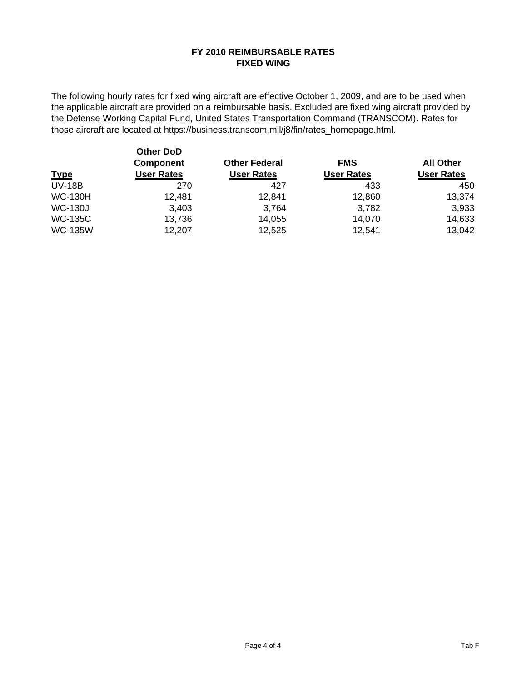| <u>Type</u>    | <b>Other DoD</b><br><b>Component</b><br><b>User Rates</b> | <b>Other Federal</b><br><b>User Rates</b> | <b>FMS</b><br><b>User Rates</b> | <b>All Other</b><br><b>User Rates</b> |  |
|----------------|-----------------------------------------------------------|-------------------------------------------|---------------------------------|---------------------------------------|--|
| <b>UV-18B</b>  | 270                                                       | 427                                       | 433                             | 450                                   |  |
| <b>WC-130H</b> | 12,481                                                    | 12,841                                    | 12,860                          | 13,374                                |  |
| <b>WC-130J</b> | 3,403                                                     | 3.764                                     | 3,782                           | 3,933                                 |  |
| <b>WC-135C</b> | 13,736                                                    | 14,055                                    | 14,070                          | 14,633                                |  |
| <b>WC-135W</b> | 12,207                                                    | 12,525                                    | 12,541                          | 13,042                                |  |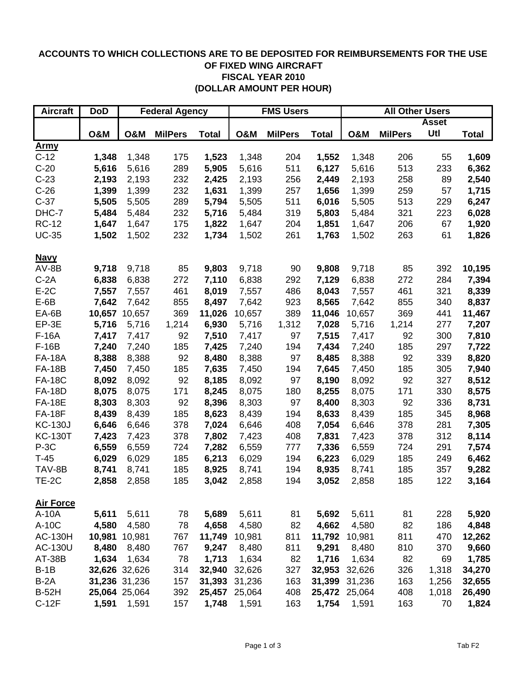# **ACCOUNTS TO WHICH COLLECTIONS ARE TO BE DEPOSITED FOR REIMBURSEMENTS FOR THE USE OF FIXED WING AIRCRAFT FISCAL YEAR 2010 (DOLLAR AMOUNT PER HOUR)**

| <b>Aircraft</b>  | <b>DoD</b>     | <b>Federal Agency</b> |                |              | <b>FMS Users</b> |                |              | <b>All Other Users</b> |                |       |              |
|------------------|----------------|-----------------------|----------------|--------------|------------------|----------------|--------------|------------------------|----------------|-------|--------------|
|                  |                |                       |                |              |                  |                |              | <b>Asset</b>           |                |       |              |
|                  | <b>O&amp;M</b> | <b>O&amp;M</b>        | <b>MilPers</b> | <b>Total</b> | <b>O&amp;M</b>   | <b>MilPers</b> | <b>Total</b> | <b>O&amp;M</b>         | <b>MilPers</b> | Utl   | <b>Total</b> |
| <u>Army</u>      |                |                       |                |              |                  |                |              |                        |                |       |              |
| $C-12$           | 1,348          | 1,348                 | 175            | 1,523        | 1,348            | 204            | 1,552        | 1,348                  | 206            | 55    | 1,609        |
| $C-20$           | 5,616          | 5,616                 | 289            | 5,905        | 5,616            | 511            | 6,127        | 5,616                  | 513            | 233   | 6,362        |
| $C-23$           | 2,193          | 2,193                 | 232            | 2,425        | 2,193            | 256            | 2,449        | 2,193                  | 258            | 89    | 2,540        |
| $C-26$           | 1,399          | 1,399                 | 232            | 1,631        | 1,399            | 257            | 1,656        | 1,399                  | 259            | 57    | 1,715        |
| $C-37$           | 5,505          | 5,505                 | 289            | 5,794        | 5,505            | 511            | 6,016        | 5,505                  | 513            | 229   | 6,247        |
| DHC-7            | 5,484          | 5,484                 | 232            | 5,716        | 5,484            | 319            | 5,803        | 5,484                  | 321            | 223   | 6,028        |
| <b>RC-12</b>     | 1,647          | 1,647                 | 175            | 1,822        | 1,647            | 204            | 1,851        | 1,647                  | 206            | 67    | 1,920        |
| <b>UC-35</b>     | 1,502          | 1,502                 | 232            | 1,734        | 1,502            | 261            | 1,763        | 1,502                  | 263            | 61    | 1,826        |
| <b>Navy</b>      |                |                       |                |              |                  |                |              |                        |                |       |              |
| $AV-BB$          | 9,718          | 9,718                 | 85             | 9,803        | 9,718            | 90             | 9,808        | 9,718                  | 85             | 392   | 10,195       |
| $C-2A$           | 6,838          | 6,838                 | 272            | 7,110        | 6,838            | 292            | 7,129        | 6,838                  | 272            | 284   | 7,394        |
| $E-2C$           | 7,557          | 7,557                 | 461            | 8,019        | 7,557            | 486            | 8,043        | 7,557                  | 461            | 321   | 8,339        |
| $E-6B$           | 7,642          | 7,642                 | 855            | 8,497        | 7,642            | 923            | 8,565        | 7,642                  | 855            | 340   | 8,837        |
| EA-6B            | 10,657         | 10,657                | 369            | 11,026       | 10,657           | 389            | 11,046       | 10,657                 | 369            | 441   | 11,467       |
| EP-3E            | 5,716          | 5,716                 | 1,214          | 6,930        | 5,716            | 1,312          | 7,028        | 5,716                  | 1,214          | 277   | 7,207        |
| F-16A            | 7,417          | 7,417                 | 92             | 7,510        | 7,417            | 97             | 7,515        | 7,417                  | 92             | 300   | 7,810        |
| $F-16B$          | 7,240          | 7,240                 | 185            | 7,425        | 7,240            | 194            | 7,434        | 7,240                  | 185            | 297   | 7,722        |
| <b>FA-18A</b>    | 8,388          | 8,388                 | 92             | 8,480        | 8,388            | 97             | 8,485        | 8,388                  | 92             | 339   | 8,820        |
| <b>FA-18B</b>    | 7,450          | 7,450                 | 185            | 7,635        | 7,450            | 194            | 7,645        | 7,450                  | 185            | 305   | 7,940        |
| <b>FA-18C</b>    | 8,092          | 8,092                 | 92             | 8,185        | 8,092            | 97             | 8,190        | 8,092                  | 92             | 327   | 8,512        |
| <b>FA-18D</b>    | 8,075          | 8,075                 | 171            | 8,245        | 8,075            | 180            | 8,255        | 8,075                  | 171            | 330   | 8,575        |
| <b>FA-18E</b>    | 8,303          | 8,303                 | 92             | 8,396        | 8,303            | 97             | 8,400        | 8,303                  | 92             | 336   | 8,731        |
| <b>FA-18F</b>    | 8,439          | 8,439                 | 185            | 8,623        | 8,439            | 194            | 8,633        | 8,439                  | 185            | 345   | 8,968        |
| <b>KC-130J</b>   | 6,646          | 6,646                 | 378            | 7,024        | 6,646            | 408            | 7,054        | 6,646                  | 378            | 281   | 7,305        |
| <b>KC-130T</b>   | 7,423          | 7,423                 | 378            | 7,802        | 7,423            | 408            | 7,831        | 7,423                  | 378            | 312   | 8,114        |
| $P-3C$           | 6,559          | 6,559                 | 724            | 7,282        | 6,559            | 777            | 7,336        | 6,559                  | 724            | 291   | 7,574        |
| $T-45$           | 6,029          | 6,029                 | 185            | 6,213        | 6,029            | 194            | 6,223        | 6,029                  | 185            | 249   | 6,462        |
| TAV-8B           | 8,741          | 8,741                 | 185            | 8,925        | 8,741            | 194            | 8,935        | 8,741                  | 185            | 357   | 9,282        |
| TE-2C            | 2,858          | 2,858                 | 185            | 3,042        | 2,858            | 194            | 3,052        | 2,858                  | 185            | 122   | 3,164        |
| <b>Air Force</b> |                |                       |                |              |                  |                |              |                        |                |       |              |
| A-10A            | 5,611          | 5,611                 | 78             | 5,689        | 5,611            | 81             | 5,692        | 5,611                  | 81             | 228   | 5,920        |
| A-10C            | 4,580          | 4,580                 | 78             | 4,658        | 4,580            | 82             | 4,662        | 4,580                  | 82             | 186   | 4,848        |
| <b>AC-130H</b>   | 10,981         | 10,981                | 767            | 11,749       | 10,981           | 811            | 11,792       | 10,981                 | 811            | 470   | 12,262       |
| AC-130U          | 8,480          | 8,480                 | 767            | 9,247        | 8,480            | 811            | 9,291        | 8,480                  | 810            | 370   | 9,660        |
| AT-38B           | 1,634          | 1,634                 | 78             | 1,713        | 1,634            | 82             | 1,716        | 1,634                  | 82             | 69    | 1,785        |
| $B-1B$           |                | 32,626 32,626         | 314            | 32,940       | 32,626           | 327            | 32,953       | 32,626                 | 326            | 1,318 | 34,270       |
| $B-2A$           |                | 31,236 31,236         | 157            | 31,393       | 31,236           | 163            | 31,399       | 31,236                 | 163            | 1,256 | 32,655       |
| <b>B-52H</b>     |                | 25,064 25,064         | 392            | 25,457       | 25,064           | 408            | 25,472       | 25,064                 | 408            | 1,018 | 26,490       |
| $C-12F$          |                | 1,591 1,591           | 157            | 1,748        | 1,591            | 163            | 1,754        | 1,591                  | 163            | 70    | 1,824        |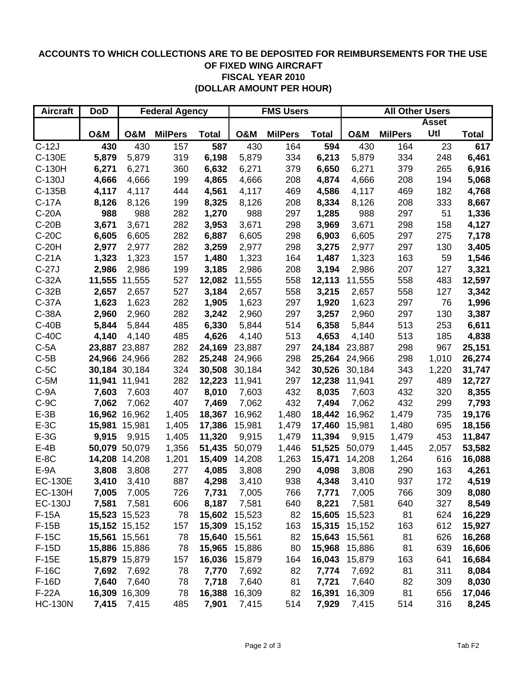# **ACCOUNTS TO WHICH COLLECTIONS ARE TO BE DEPOSITED FOR REIMBURSEMENTS FOR THE USE OF FIXED WING AIRCRAFT FISCAL YEAR 2010 (DOLLAR AMOUNT PER HOUR)**

| <b>Aircraft</b> | <b>DoD</b>     | <b>Federal Agency</b> |                |              | <b>FMS Users</b> |                |              | <b>All Other Users</b> |                |              |              |
|-----------------|----------------|-----------------------|----------------|--------------|------------------|----------------|--------------|------------------------|----------------|--------------|--------------|
|                 |                |                       |                |              |                  |                |              |                        |                | <b>Asset</b> |              |
|                 | <b>O&amp;M</b> | <b>O&amp;M</b>        | <b>MilPers</b> | <b>Total</b> | <b>O&amp;M</b>   | <b>MilPers</b> | <b>Total</b> | <b>O&amp;M</b>         | <b>MilPers</b> | Utl          | <b>Total</b> |
| $C-12J$         | 430            | 430                   | 157            | 587          | 430              | 164            | 594          | 430                    | 164            | 23           | 617          |
| C-130E          | 5,879          | 5,879                 | 319            | 6,198        | 5,879            | 334            | 6,213        | 5,879                  | 334            | 248          | 6,461        |
| C-130H          | 6,271          | 6,271                 | 360            | 6,632        | 6,271            | 379            | 6,650        | 6,271                  | 379            | 265          | 6,916        |
| C-130J          | 4,666          | 4,666                 | 199            | 4,865        | 4,666            | 208            | 4,874        | 4,666                  | 208            | 194          | 5,068        |
| C-135B          | 4,117          | 4,117                 | 444            | 4,561        | 4,117            | 469            | 4,586        | 4,117                  | 469            | 182          | 4,768        |
| $C-17A$         | 8,126          | 8,126                 | 199            | 8,325        | 8,126            | 208            | 8,334        | 8,126                  | 208            | 333          | 8,667        |
| $C-20A$         | 988            | 988                   | 282            | 1,270        | 988              | 297            | 1,285        | 988                    | 297            | 51           | 1,336        |
| $C-20B$         | 3,671          | 3,671                 | 282            | 3,953        | 3,671            | 298            | 3,969        | 3,671                  | 298            | 158          | 4,127        |
| $C-20C$         | 6,605          | 6,605                 | 282            | 6,887        | 6,605            | 298            | 6,903        | 6,605                  | 297            | 275          | 7,178        |
| $C-20H$         | 2,977          | 2,977                 | 282            | 3,259        | 2,977            | 298            | 3,275        | 2,977                  | 297            | 130          | 3,405        |
| $C-21A$         | 1,323          | 1,323                 | 157            | 1,480        | 1,323            | 164            | 1,487        | 1,323                  | 163            | 59           | 1,546        |
| $C-27J$         | 2,986          | 2,986                 | 199            | 3,185        | 2,986            | 208            | 3,194        | 2,986                  | 207            | 127          | 3,321        |
| $C-32A$         |                | 11,555 11,555         | 527            | 12,082       | 11,555           | 558            | 12,113       | 11,555                 | 558            | 483          | 12,597       |
| $C-32B$         | 2,657          | 2,657                 | 527            | 3,184        | 2,657            | 558            | 3,215        | 2,657                  | 558            | 127          | 3,342        |
| $C-37A$         | 1,623          | 1,623                 | 282            | 1,905        | 1,623            | 297            | 1,920        | 1,623                  | 297            | 76           | 1,996        |
| C-38A           | 2,960          | 2,960                 | 282            | 3,242        | 2,960            | 297            | 3,257        | 2,960                  | 297            | 130          | 3,387        |
| $C-40B$         | 5,844          | 5,844                 | 485            | 6,330        | 5,844            | 514            | 6,358        | 5,844                  | 513            | 253          | 6,611        |
| $C-40C$         | 4,140          | 4,140                 | 485            | 4,626        | 4,140            | 513            | 4,653        | 4,140                  | 513            | 185          | 4,838        |
| $C-5A$          |                | 23,887 23,887         | 282            | 24,169       | 23,887           | 297            | 24,184       | 23,887                 | 298            | 967          | 25,151       |
| $C-5B$          |                | 24,966 24,966         | 282            | 25,248       | 24,966           | 298            | 25,264       | 24,966                 | 298            | 1,010        | 26,274       |
| $C-5C$          |                | 30,184 30,184         | 324            | 30,508       | 30,184           | 342            | 30,526       | 30,184                 | 343            | 1,220        | 31,747       |
| $C-5M$          |                | 11,941 11,941         | 282            | 12,223       | 11,941           | 297            | 12,238       | 11,941                 | 297            | 489          | 12,727       |
| $C-9A$          | 7,603          | 7,603                 | 407            | 8,010        | 7,603            | 432            | 8,035        | 7,603                  | 432            | 320          | 8,355        |
| $C-9C$          | 7,062          | 7,062                 | 407            | 7,469        | 7,062            | 432            | 7,494        | 7,062                  | 432            | 299          | 7,793        |
| $E-3B$          |                | 16,962 16,962         | 1,405          | 18,367       | 16,962           | 1,480          | 18,442       | 16,962                 | 1,479          | 735          | 19,176       |
| $E-3C$          |                | 15,981 15,981         | 1,405          | 17,386       | 15,981           | 1,479          | 17,460       | 15,981                 | 1,480          | 695          | 18,156       |
| $E-3G$          | 9,915          | 9,915                 | 1,405          | 11,320       | 9,915            | 1,479          | 11,394       | 9,915                  | 1,479          | 453          | 11,847       |
| $E-4B$          |                | 50,079 50,079         | 1,356          | 51,435       | 50,079           | 1,446          | 51,525       | 50,079                 | 1,445          | 2,057        | 53,582       |
| $E-8C$          |                | 14,208 14,208         | 1,201          | 15,409       | 14,208           | 1,263          | 15,471       | 14,208                 | 1,264          | 616          | 16,088       |
| $E-9A$          | 3,808          | 3,808                 | 277            | 4,085        | 3,808            | 290            | 4,098        | 3,808                  | 290            | 163          | 4,261        |
| <b>EC-130E</b>  | 3,410          | 3,410                 | 887            | 4,298        | 3,410            | 938            | 4,348        | 3,410                  | 937            | 172          | 4,519        |
| <b>EC-130H</b>  |                | 7,005 7,005           | 726            | 7,731        | 7,005            | 766            | 7,771        | 7,005                  | 766            | 309          | 8,080        |
| <b>EC-130J</b>  | 7,581          | 7,581                 | 606            | 8,187        | 7,581            | 640            | 8,221        | 7,581                  | 640            | 327          | 8,549        |
| $F-15A$         |                | 15,523 15,523         | 78             | 15,602       | 15,523           | 82             | 15,605       | 15,523                 | 81             | 624          | 16,229       |
| $F-15B$         |                | 15,152 15,152         | 157            | 15,309       | 15,152           | 163            | 15,315       | 15,152                 | 163            | 612          | 15,927       |
| $F-15C$         |                | 15,561 15,561         | 78             | 15,640       | 15,561           | 82             | 15,643       | 15,561                 | 81             | 626          | 16,268       |
| $F-15D$         |                | 15,886 15,886         | 78             | 15,965       | 15,886           | 80             | 15,968       | 15,886                 | 81             | 639          | 16,606       |
| $F-15E$         |                | 15,879 15,879         | 157            | 16,036       | 15,879           | 164            | 16,043       | 15,879                 | 163            | 641          | 16,684       |
| F-16C           | 7,692          | 7,692                 | 78             | 7,770        | 7,692            | 82             | 7,774        | 7,692                  | 81             | 311          | 8,084        |
| F-16D           | 7,640          | 7,640                 | 78             | 7,718        | 7,640            | 81             | 7,721        | 7,640                  | 82             | 309          | 8,030        |
| $F-22A$         | 16,309         | 16,309                | 78             | 16,388       | 16,309           | 82             | 16,391       | 16,309                 | 81             | 656          | 17,046       |
| <b>HC-130N</b>  | 7,415          | 7,415                 | 485            | 7,901        | 7,415            | 514            | 7,929        | 7,415                  | 514            | 316          | 8,245        |